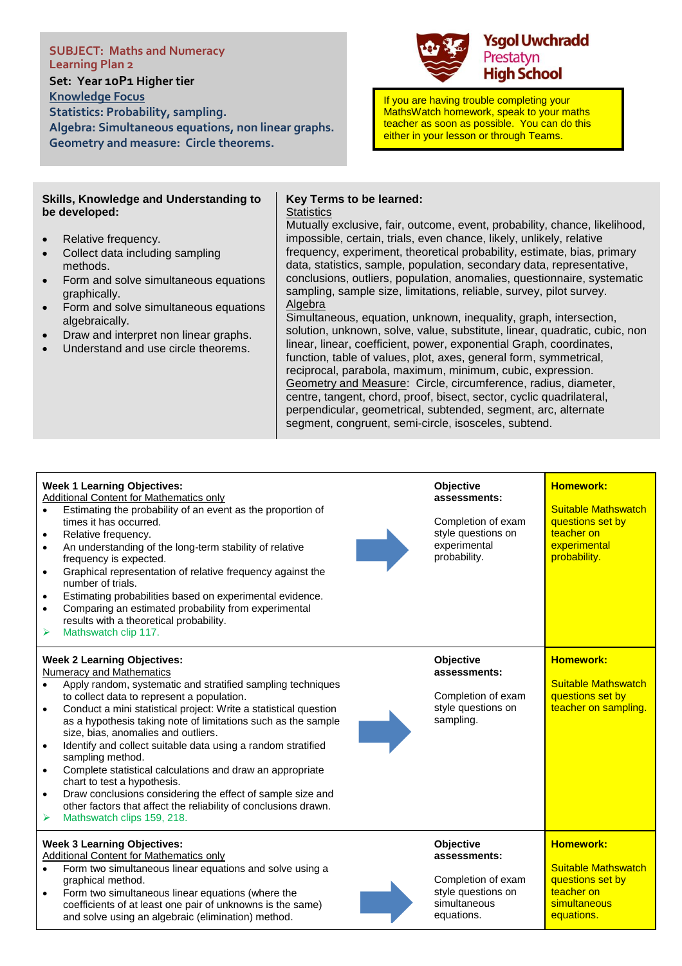**SUBJECT: Maths and Numeracy Learning Plan 2 Set: Year 10P1 Higher tier Knowledge Focus Statistics: Probability, sampling. Algebra: Simultaneous equations, non linear graphs. Geometry and measure: Circle theorems.**



If you are having trouble completing your MathsWatch homework, speak to your maths teacher as soon as possible. You can do this either in your lesson or through Teams.

#### **Skills, Knowledge and Understanding to be developed:**

- Relative frequency.
- Collect data including sampling methods.
- Form and solve simultaneous equations graphically.
- Form and solve simultaneous equations algebraically.
- Draw and interpret non linear graphs.
- Understand and use circle theorems.

### **Key Terms to be learned:**

**Statistics** 

Mutually exclusive, fair, outcome, event, probability, chance, likelihood, impossible, certain, trials, even chance, likely, unlikely, relative frequency, experiment, theoretical probability, estimate, bias, primary data, statistics, sample, population, secondary data, representative, conclusions, outliers, population, anomalies, questionnaire, systematic sampling, sample size, limitations, reliable, survey, pilot survey. Algebra

Simultaneous, equation, unknown, inequality, graph, intersection, solution, unknown, solve, value, substitute, linear, quadratic, cubic, non linear, linear, coefficient, power, exponential Graph, coordinates, function, table of values, plot, axes, general form, symmetrical, reciprocal, parabola, maximum, minimum, cubic, expression. Geometry and Measure: Circle, circumference, radius, diameter, centre, tangent, chord, proof, bisect, sector, cyclic quadrilateral, perpendicular, geometrical, subtended, segment, arc, alternate segment, congruent, semi-circle, isosceles, subtend.

## **Week 1 Learning Objectives:**

- Additional Content for Mathematics only
- Estimating the probability of an event as the proportion of times it has occurred.
- Relative frequency.
- An understanding of the long-term stability of relative frequency is expected.
- Graphical representation of relative frequency against the number of trials.
- Estimating probabilities based on experimental evidence.
- Comparing an estimated probability from experimental results with a theoretical probability.
- ➢ Mathswatch clip 117.

#### **Week 2 Learning Objectives:**

- Numeracy and Mathematics
- Apply random, systematic and stratified sampling techniques to collect data to represent a population.
- Conduct a mini statistical project: Write a statistical question as a hypothesis taking note of limitations such as the sample size, bias, anomalies and outliers.
- Identify and collect suitable data using a random stratified sampling method.
- Complete statistical calculations and draw an appropriate chart to test a hypothesis.
- Draw conclusions considering the effect of sample size and
- other factors that affect the reliability of conclusions drawn.
- Mathswatch clips 159, 218.

# **Week 3 Learning Objectives:**

Additional Content for Mathematics only

- Form two simultaneous linear equations and solve using a graphical method.
- Form two simultaneous linear equations (where the coefficients of at least one pair of unknowns is the same) and solve using an algebraic (elimination) method.



Completion of exam style questions on experimental probability.

**Objective assessments:**

**Objective** 



**Objective assessments:**

Completion of exam style questions on simultaneous equations.

**Suitable Mathswatch** questions set by teacher on **simultaneous** equations.

**Homework:**

**Homework:**

**Homework:**

Suitable Mathswatch questions set by teacher on sampling.

Suitable Mathswatch questions set by teacher on **experimental** probability.